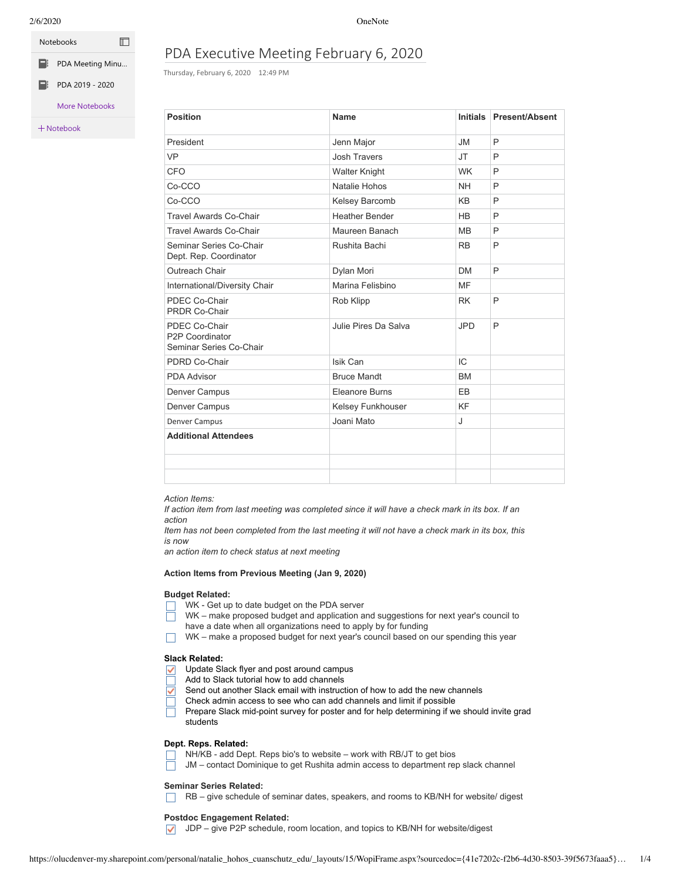| <b>Notebooks</b> |  |
|------------------|--|
| PDA Meeting Minu |  |

[PDA 2019 - 2020](https://olucdenver-my.sharepoint.com/personal/natalie_hohos_ucdenver_edu/Documents/Notebooks/PDA%202019%20-%202020?wdorigin=704)

## More Notebooks

Notebook

# PDA Executive Meeting February 6, 2020

Thursday, February 6, 2020 12:49 PM

| <b>Position</b>                                             | Name                  | <b>Initials</b> | <b>Present/Absent</b> |
|-------------------------------------------------------------|-----------------------|-----------------|-----------------------|
| President                                                   | Jenn Major            | <b>JM</b>       | P                     |
| <b>VP</b>                                                   | Josh Travers          | <b>JT</b>       | P                     |
| <b>CFO</b>                                                  | <b>Walter Knight</b>  | <b>WK</b>       | P                     |
| Co-CCO                                                      | Natalie Hohos         | <b>NH</b>       | P                     |
| Co-CCO                                                      | Kelsey Barcomb        | <b>KB</b>       | P                     |
| <b>Travel Awards Co-Chair</b>                               | <b>Heather Bender</b> | <b>HB</b>       | P                     |
| <b>Travel Awards Co-Chair</b>                               | Maureen Banach        | <b>MB</b>       | P                     |
| Seminar Series Co-Chair<br>Dept. Rep. Coordinator           | Rushita Bachi         | <b>RB</b>       | P                     |
| Outreach Chair                                              | Dylan Mori            | <b>DM</b>       | P                     |
| International/Diversity Chair                               | Marina Felisbino      | <b>MF</b>       |                       |
| PDEC Co-Chair<br><b>PRDR Co-Chair</b>                       | Rob Klipp             | <b>RK</b>       | P                     |
| PDEC Co-Chair<br>P2P Coordinator<br>Seminar Series Co-Chair | Julie Pires Da Salva  | <b>JPD</b>      | P                     |
| PDRD Co-Chair                                               | Isik Can              | IC              |                       |
| <b>PDA Advisor</b>                                          | <b>Bruce Mandt</b>    | <b>BM</b>       |                       |
| Denver Campus                                               | <b>Eleanore Burns</b> | EB              |                       |
| Denver Campus                                               | Kelsey Funkhouser     | KF              |                       |
| Denver Campus                                               | Joani Mato            | J               |                       |
| <b>Additional Attendees</b>                                 |                       |                 |                       |
|                                                             |                       |                 |                       |
|                                                             |                       |                 |                       |

*Action Items:*

If action item from last meeting was completed since it will have a check mark in its box. If an *action*

Item has not been completed from the last meeting it will not have a check mark in its box, this *is now*

*an action item to check status at next meeting*

#### **Action Items from Previous Meeting (Jan 9, 2020)**

#### **Budget Related:**

- WK Get up to date budget on the PDA server
- WK make proposed budget and application and suggestions for next year's council to
- have a date when all organizations need to apply by for funding
- $\Box$  WK make a proposed budget for next year's council based on our spending this year

#### **Slack Related:**

- Update Slack flyer and post around campus  $\checkmark$
- Add to Slack tutorial how to add channels
- Send out another Slack email with instruction of how to add the new channels  $\checkmark$
- Check admin access to see who can add channels and limit if possible
- Prepare Slack mid-point survey for poster and for help determining if we should invite grad students

#### **Dept. Reps. Related:**

NH/KB - add Dept. Reps bio's to website – work with RB/JT to get bios

JM – contact Dominique to get Rushita admin access to department rep slack channel

#### **Seminar Series Related:**

 $\Box$  RB – give schedule of seminar dates, speakers, and rooms to KB/NH for website/ digest

#### **Postdoc Engagement Related:**

 $\triangledown$  JDP – give P2P schedule, room location, and topics to KB/NH for website/digest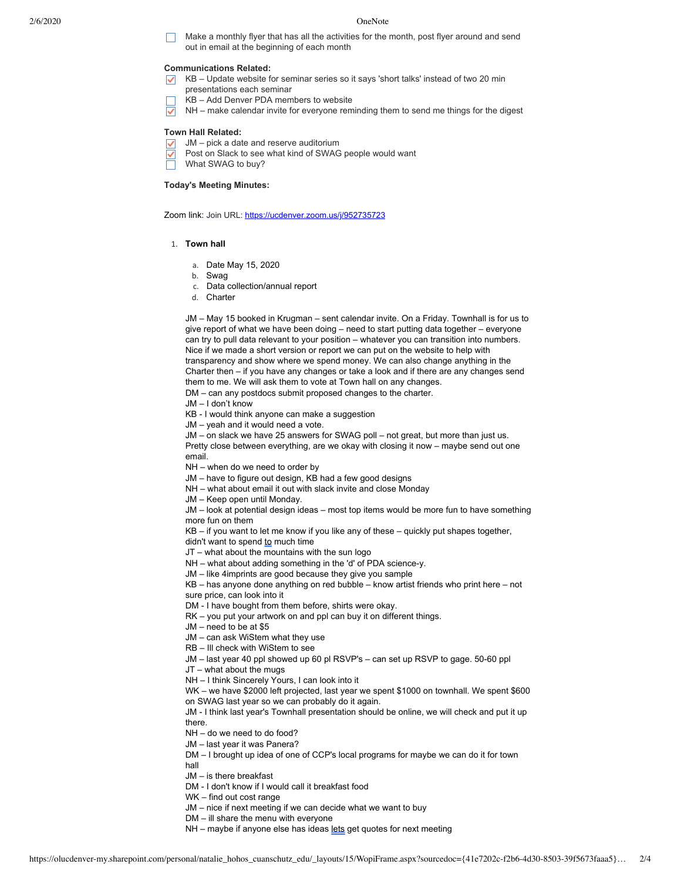Make a monthly flyer that has all the activities for the month, post flyer around and send out in email at the beginning of each month

### **Communications Related:**

- $\overline{\smash{\triangledown}}$  KB Update website for seminar series so it says 'short talks' instead of two 20 min
- presentations each seminar KB – Add Denver PDA members to website
- 
- $\overline{\checkmark}$ NH – make calendar invite for everyone reminding them to send me things for the digest

#### **Town Hall Related:**

- JM pick a date and reserve auditorium
- Post on Slack to see what kind of SWAG people would want ✓
- What SWAG to buy?

#### **Today's Meeting Minutes:**

Zoom link: Join URL: [https://ucdenver.zoom.us/j/952735723](https://ucdenver.zoom.us/j/952735723?_ga=2.187231208.1909535898.1581007646-1086550124.1581007646)

- 1. **Town hall**
	- a. Date May 15, 2020
	- b. Swag
	- c. Data collection/annual report
	- d. Charter

JM – May 15 booked in Krugman – sent calendar invite. On a Friday. Townhall is for us to give report of what we have been doing – need to start putting data together – everyone can try to pull data relevant to your position – whatever you can transition into numbers. Nice if we made a short version or report we can put on the website to help with transparency and show where we spend money. We can also change anything in the Charter then – if you have any changes or take a look and if there are any changes send them to me. We will ask them to vote at Town hall on any changes.

DM – can any postdocs submit proposed changes to the charter.

- JM I don't know
- KB I would think anyone can make a suggestion
- JM yeah and it would need a vote.
- JM on slack we have 25 answers for SWAG poll not great, but more than just us.
- Pretty close between everything, are we okay with closing it now maybe send out one email.
- NH when do we need to order by
- JM have to figure out design, KB had a few good designs
- NH what about email it out with slack invite and close Monday

JM – Keep open until Monday.

JM – look at potential design ideas – most top items would be more fun to have something more fun on them

KB – if you want to let me know if you like any of these – quickly put shapes together,

didn't want to spend to much time

JT – what about the mountains with the sun logo

NH – what about adding something in the 'd' of PDA science-y.

JM – like 4imprints are good because they give you sample

KB – has anyone done anything on red bubble – know artist friends who print here – not

sure price, can look into it

DM - I have bought from them before, shirts were okay.

RK – you put your artwork on and ppl can buy it on different things.

JM – need to be at \$5

JM – can ask WiStem what they use

RB – Ill check with WiStem to see

JM – last year 40 ppl showed up 60 pl RSVP's – can set up RSVP to gage. 50-60 ppl

JT – what about the mugs

NH – I think Sincerely Yours, I can look into it

WK – we have \$2000 left projected, last year we spent \$1000 on townhall. We spent \$600 on SWAG last year so we can probably do it again.

JM - I think last year's Townhall presentation should be online, we will check and put it up there.

NH – do we need to do food?

JM – last year it was Panera?

DM – I brought up idea of one of CCP's local programs for maybe we can do it for town hall

JM – is there breakfast

DM - I don't know if I would call it breakfast food

WK – find out cost range

JM – nice if next meeting if we can decide what we want to buy

DM – ill share the menu with everyone

NH – maybe if anyone else has ideas lets get quotes for next meeting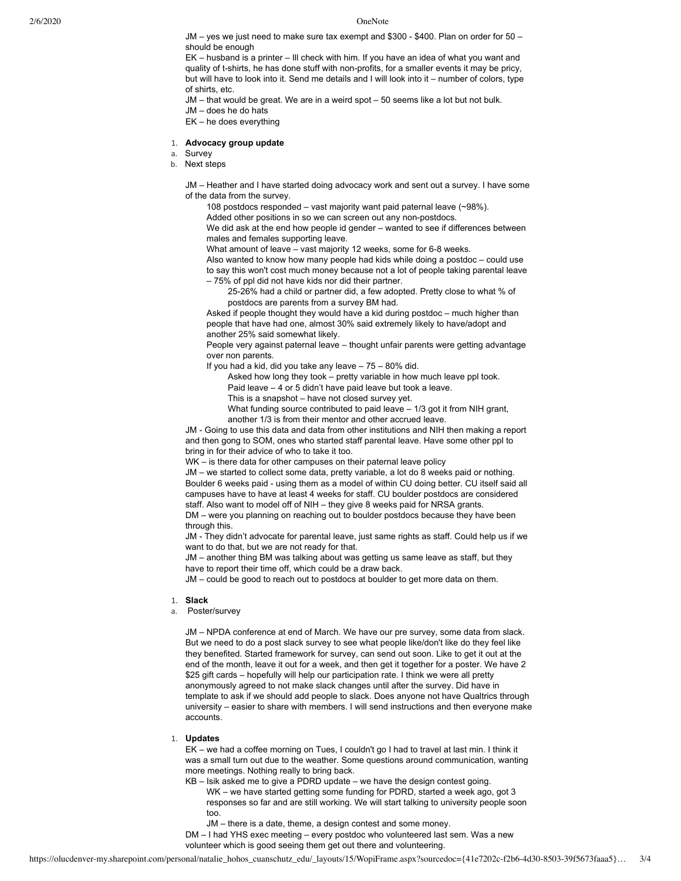JM – yes we just need to make sure tax exempt and \$300 - \$400. Plan on order for 50 – should be enough

EK – husband is a printer – Ill check with him. If you have an idea of what you want and quality of t-shirts, he has done stuff with non-profits, for a smaller events it may be pricy, but will have to look into it. Send me details and I will look into it – number of colors, type of shirts, etc.

JM – that would be great. We are in a weird spot – 50 seems like a lot but not bulk. JM – does he do hats EK – he does everything

#### 1. **Advocacy group update**

a. Survey

b. Next steps

JM – Heather and I have started doing advocacy work and sent out a survey. I have some of the data from the survey.

108 postdocs responded – vast majority want paid paternal leave (~98%).

Added other positions in so we can screen out any non-postdocs.

We did ask at the end how people id gender – wanted to see if differences between males and females supporting leave.

What amount of leave – vast majority 12 weeks, some for 6-8 weeks.

Also wanted to know how many people had kids while doing a postdoc – could use to say this won't cost much money because not a lot of people taking parental leave – 75% of ppl did not have kids nor did their partner.

25-26% had a child or partner did, a few adopted. Pretty close to what % of postdocs are parents from a survey BM had.

Asked if people thought they would have a kid during postdoc – much higher than people that have had one, almost 30% said extremely likely to have/adopt and another 25% said somewhat likely.

People very against paternal leave – thought unfair parents were getting advantage over non parents.

If you had a kid, did you take any leave – 75 – 80% did.

Asked how long they took – pretty variable in how much leave ppl took. Paid leave – 4 or 5 didn't have paid leave but took a leave.

This is a snapshot – have not closed survey yet.

What funding source contributed to paid leave – 1/3 got it from NIH grant,

another 1/3 is from their mentor and other accrued leave.

JM - Going to use this data and data from other institutions and NIH then making a report and then gong to SOM, ones who started staff parental leave. Have some other ppl to bring in for their advice of who to take it too.

WK – is there data for other campuses on their paternal leave policy

JM – we started to collect some data, pretty variable, a lot do 8 weeks paid or nothing. Boulder 6 weeks paid - using them as a model of within CU doing better. CU itself said all campuses have to have at least 4 weeks for staff. CU boulder postdocs are considered staff. Also want to model off of NIH – they give 8 weeks paid for NRSA grants.

DM – were you planning on reaching out to boulder postdocs because they have been through this.

JM - They didn't advocate for parental leave, just same rights as staff. Could help us if we want to do that, but we are not ready for that.

JM – another thing BM was talking about was getting us same leave as staff, but they have to report their time off, which could be a draw back.

JM – could be good to reach out to postdocs at boulder to get more data on them.

#### 1. **Slack**

a. Poster/survey

JM – NPDA conference at end of March. We have our pre survey, some data from slack. But we need to do a post slack survey to see what people like/don't like do they feel like they benefited. Started framework for survey, can send out soon. Like to get it out at the end of the month, leave it out for a week, and then get it together for a poster. We have 2 \$25 gift cards – hopefully will help our participation rate. I think we were all pretty anonymously agreed to not make slack changes until after the survey. Did have in template to ask if we should add people to slack. Does anyone not have Qualtrics through university – easier to share with members. I will send instructions and then everyone make accounts.

### 1. **Updates**

EK – we had a coffee morning on Tues, I couldn't go I had to travel at last min. I think it was a small turn out due to the weather. Some questions around communication, wanting more meetings. Nothing really to bring back.

KB – Isik asked me to give a PDRD update – we have the design contest going.

WK – we have started getting some funding for PDRD, started a week ago, got 3 responses so far and are still working. We will start talking to university people soon too.

JM – there is a date, theme, a design contest and some money.

DM – I had YHS exec meeting – every postdoc who volunteered last sem. Was a new volunteer which is good seeing them get out there and volunteering.